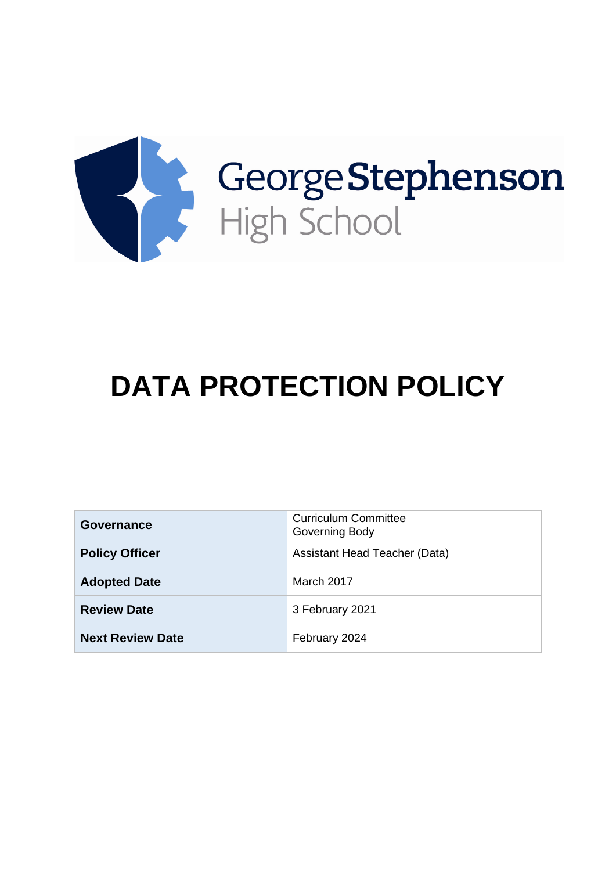

# **DATA PROTECTION POLICY**

| <b>Governance</b>       | <b>Curriculum Committee</b><br>Governing Body |
|-------------------------|-----------------------------------------------|
| <b>Policy Officer</b>   | Assistant Head Teacher (Data)                 |
| <b>Adopted Date</b>     | March 2017                                    |
| <b>Review Date</b>      | 3 February 2021                               |
| <b>Next Review Date</b> | February 2024                                 |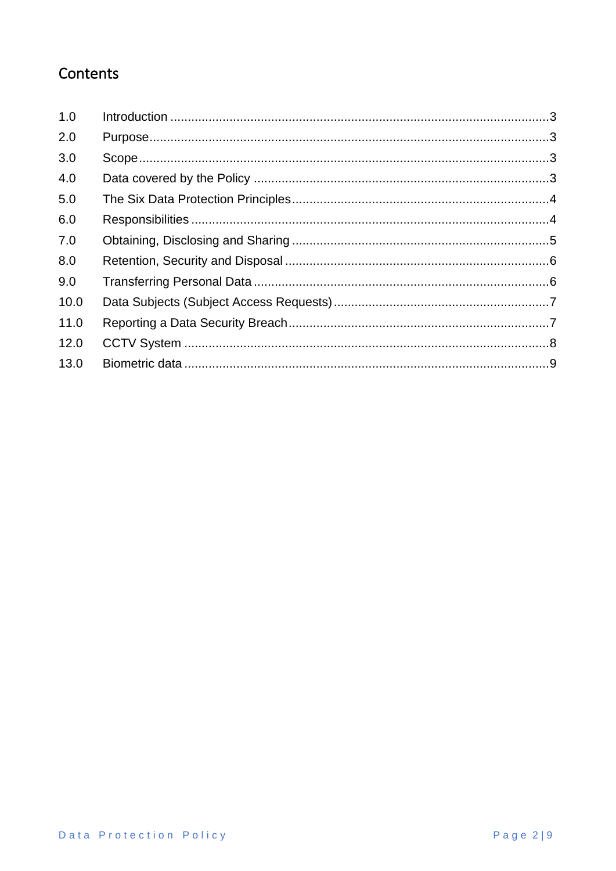# Contents

| 1.0  |  |
|------|--|
| 2.0  |  |
| 3.0  |  |
| 4.0  |  |
| 5.0  |  |
| 6.0  |  |
| 7.0  |  |
| 8.0  |  |
| 9.0  |  |
| 10.0 |  |
| 11.0 |  |
| 12.0 |  |
| 13.0 |  |
|      |  |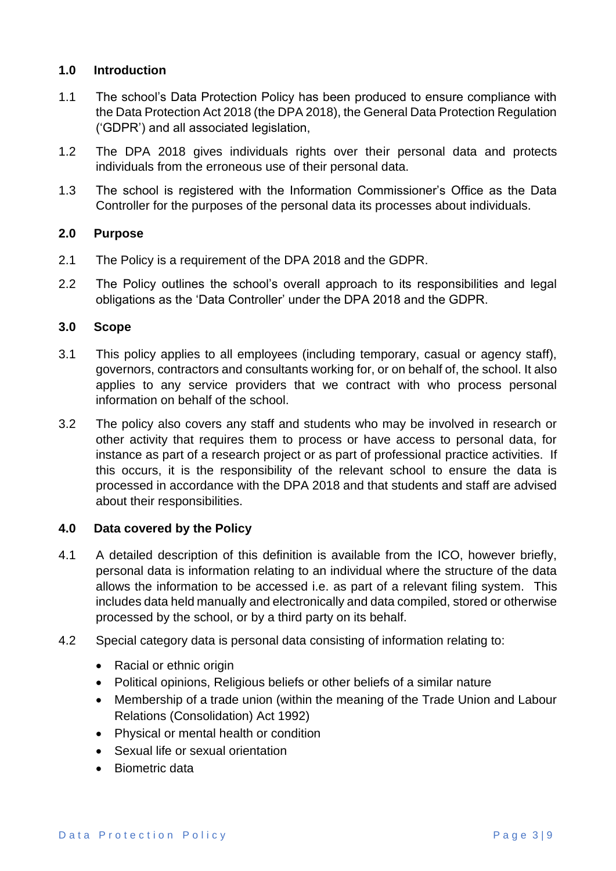# <span id="page-2-0"></span>**1.0 Introduction**

- 1.1 The school's Data Protection Policy has been produced to ensure compliance with the Data Protection Act 2018 (the DPA 2018), the General Data Protection Regulation ('GDPR') and all associated legislation,
- 1.2 The DPA 2018 gives individuals rights over their personal data and protects individuals from the erroneous use of their personal data.
- 1.3 The school is registered with the Information Commissioner's Office as the Data Controller for the purposes of the personal data its processes about individuals.

# <span id="page-2-1"></span>**2.0 Purpose**

- 2.1 The Policy is a requirement of the DPA 2018 and the GDPR.
- 2.2 The Policy outlines the school's overall approach to its responsibilities and legal obligations as the 'Data Controller' under the DPA 2018 and the GDPR.

# <span id="page-2-2"></span>**3.0 Scope**

- 3.1 This policy applies to all employees (including temporary, casual or agency staff), governors, contractors and consultants working for, or on behalf of, the school. It also applies to any service providers that we contract with who process personal information on behalf of the school.
- 3.2 The policy also covers any staff and students who may be involved in research or other activity that requires them to process or have access to personal data, for instance as part of a research project or as part of professional practice activities. If this occurs, it is the responsibility of the relevant school to ensure the data is processed in accordance with the DPA 2018 and that students and staff are advised about their responsibilities.

# <span id="page-2-3"></span>**4.0 Data covered by the Policy**

- 4.1 A detailed description of this definition is available from the ICO, however briefly, personal data is information relating to an individual where the structure of the data allows the information to be accessed i.e. as part of a relevant filing system. This includes data held manually and electronically and data compiled, stored or otherwise processed by the school, or by a third party on its behalf.
- 4.2 Special category data is personal data consisting of information relating to:
	- Racial or ethnic origin
	- Political opinions, Religious beliefs or other beliefs of a similar nature
	- Membership of a trade union (within the meaning of the Trade Union and Labour Relations (Consolidation) Act 1992)
	- Physical or mental health or condition
	- Sexual life or sexual orientation
	- Biometric data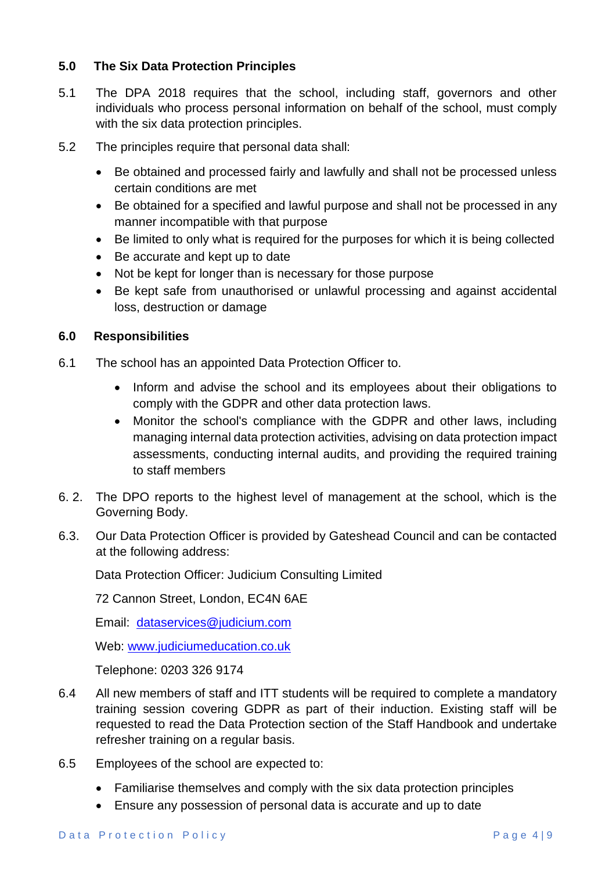# <span id="page-3-0"></span>**5.0 The Six Data Protection Principles**

- 5.1 The DPA 2018 requires that the school, including staff, governors and other individuals who process personal information on behalf of the school, must comply with the six data protection principles.
- 5.2 The principles require that personal data shall:
	- Be obtained and processed fairly and lawfully and shall not be processed unless certain conditions are met
	- Be obtained for a specified and lawful purpose and shall not be processed in any manner incompatible with that purpose
	- Be limited to only what is required for the purposes for which it is being collected
	- Be accurate and kept up to date
	- Not be kept for longer than is necessary for those purpose
	- Be kept safe from unauthorised or unlawful processing and against accidental loss, destruction or damage

#### <span id="page-3-1"></span>**6.0 Responsibilities**

- 6.1 The school has an appointed Data Protection Officer to.
	- Inform and advise the school and its employees about their obligations to comply with the GDPR and other data protection laws.
	- Monitor the school's compliance with the GDPR and other laws, including managing internal data protection activities, advising on data protection impact assessments, conducting internal audits, and providing the required training to staff members
- 6. 2. The DPO reports to the highest level of management at the school, which is the Governing Body.
- 6.3. Our Data Protection Officer is provided by Gateshead Council and can be contacted at the following address:

Data Protection Officer: Judicium Consulting Limited

72 Cannon Street, London, EC4N 6AE

Email: [dataservices@judicium.com](mailto:dataservices@judicium.com)

Web: [www.judiciumeducation.co.uk](http://www.judiciumeducation.co.uk/)

Telephone: 0203 326 9174

- 6.4 All new members of staff and ITT students will be required to complete a mandatory training session covering GDPR as part of their induction. Existing staff will be requested to read the Data Protection section of the Staff Handbook and undertake refresher training on a regular basis.
- 6.5 Employees of the school are expected to:
	- Familiarise themselves and comply with the six data protection principles
	- Ensure any possession of personal data is accurate and up to date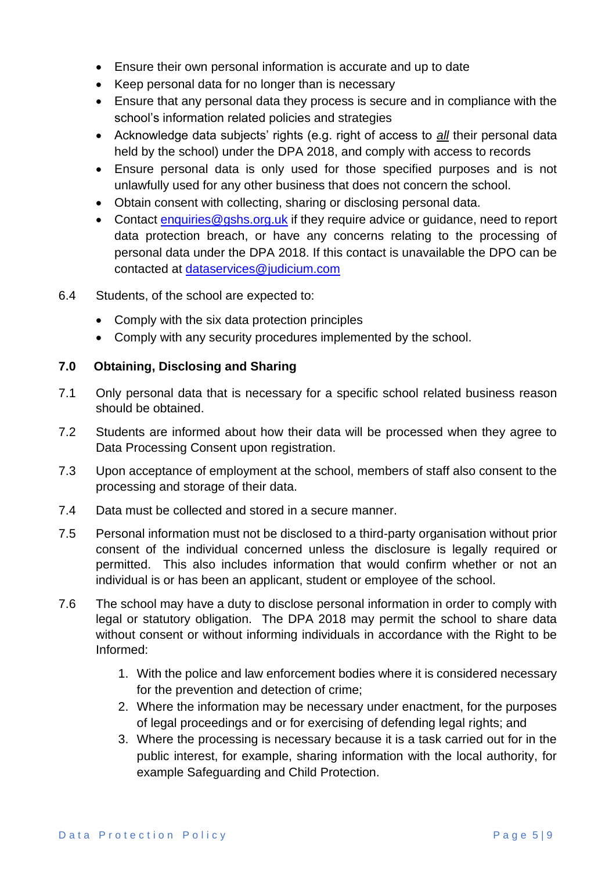- Ensure their own personal information is accurate and up to date
- Keep personal data for no longer than is necessary
- Ensure that any personal data they process is secure and in compliance with the school's information related policies and strategies
- Acknowledge data subjects' rights (e.g. right of access to *all* their personal data held by the school) under the DPA 2018, and comply with access to records
- Ensure personal data is only used for those specified purposes and is not unlawfully used for any other business that does not concern the school.
- Obtain consent with collecting, sharing or disclosing personal data.
- Contact [enquiries@gshs.org.uk](mailto:enquiries@gshs.org.uk) if they require advice or guidance, need to report data protection breach, or have any concerns relating to the processing of personal data under the DPA 2018. If this contact is unavailable the DPO can be contacted at [dataservices@judicium.com](mailto:dataservices@judicium.com)
- 6.4 Students, of the school are expected to:
	- Comply with the six data protection principles
	- Comply with any security procedures implemented by the school.

# <span id="page-4-0"></span>**7.0 Obtaining, Disclosing and Sharing**

- 7.1 Only personal data that is necessary for a specific school related business reason should be obtained.
- 7.2 Students are informed about how their data will be processed when they agree to Data Processing Consent upon registration.
- 7.3 Upon acceptance of employment at the school, members of staff also consent to the processing and storage of their data.
- 7.4 Data must be collected and stored in a secure manner.
- 7.5 Personal information must not be disclosed to a third-party organisation without prior consent of the individual concerned unless the disclosure is legally required or permitted. This also includes information that would confirm whether or not an individual is or has been an applicant, student or employee of the school.
- 7.6 The school may have a duty to disclose personal information in order to comply with legal or statutory obligation. The DPA 2018 may permit the school to share data without consent or without informing individuals in accordance with the Right to be Informed:
	- 1. With the police and law enforcement bodies where it is considered necessary for the prevention and detection of crime;
	- 2. Where the information may be necessary under enactment, for the purposes of legal proceedings and or for exercising of defending legal rights; and
	- 3. Where the processing is necessary because it is a task carried out for in the public interest, for example, sharing information with the local authority, for example Safeguarding and Child Protection.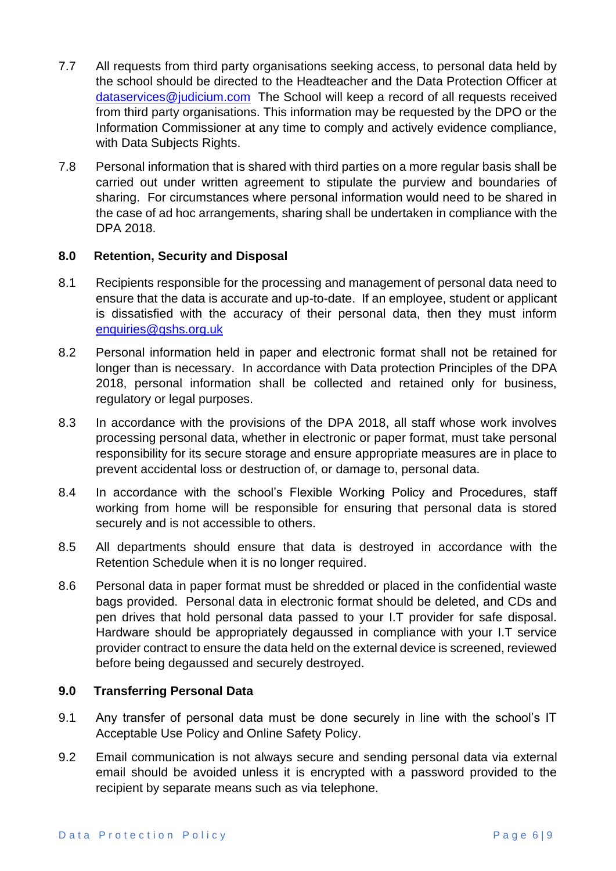- 7.7 All requests from third party organisations seeking access, to personal data held by the school should be directed to the Headteacher and the Data Protection Officer at [dataservices@judicium.com](mailto:dataservices@judicium.com) The School will keep a record of all requests received from third party organisations. This information may be requested by the DPO or the Information Commissioner at any time to comply and actively evidence compliance, with Data Subjects Rights.
- 7.8 Personal information that is shared with third parties on a more regular basis shall be carried out under written agreement to stipulate the purview and boundaries of sharing. For circumstances where personal information would need to be shared in the case of ad hoc arrangements, sharing shall be undertaken in compliance with the DPA 2018.

#### <span id="page-5-0"></span>**8.0 Retention, Security and Disposal**

- 8.1 Recipients responsible for the processing and management of personal data need to ensure that the data is accurate and up-to-date. If an employee, student or applicant is dissatisfied with the accuracy of their personal data, then they must inform [enquiries@gshs.org.uk](mailto:enquiries@gshs.org.uk)
- 8.2 Personal information held in paper and electronic format shall not be retained for longer than is necessary. In accordance with Data protection Principles of the DPA 2018, personal information shall be collected and retained only for business, regulatory or legal purposes.
- 8.3 In accordance with the provisions of the DPA 2018, all staff whose work involves processing personal data, whether in electronic or paper format, must take personal responsibility for its secure storage and ensure appropriate measures are in place to prevent accidental loss or destruction of, or damage to, personal data.
- 8.4 In accordance with the school's Flexible Working Policy and Procedures, staff working from home will be responsible for ensuring that personal data is stored securely and is not accessible to others.
- 8.5 All departments should ensure that data is destroyed in accordance with the Retention Schedule when it is no longer required.
- 8.6 Personal data in paper format must be shredded or placed in the confidential waste bags provided. Personal data in electronic format should be deleted, and CDs and pen drives that hold personal data passed to your I.T provider for safe disposal. Hardware should be appropriately degaussed in compliance with your I.T service provider contract to ensure the data held on the external device is screened, reviewed before being degaussed and securely destroyed.

#### <span id="page-5-1"></span>**9.0 Transferring Personal Data**

- 9.1 Any transfer of personal data must be done securely in line with the school's IT Acceptable Use Policy and Online Safety Policy.
- 9.2 Email communication is not always secure and sending personal data via external email should be avoided unless it is encrypted with a password provided to the recipient by separate means such as via telephone.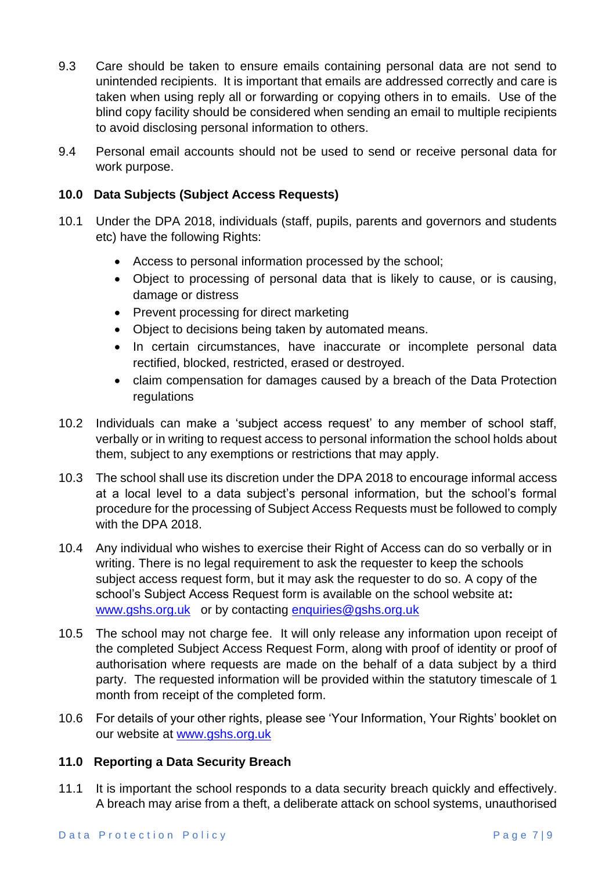- 9.3 Care should be taken to ensure emails containing personal data are not send to unintended recipients. It is important that emails are addressed correctly and care is taken when using reply all or forwarding or copying others in to emails. Use of the blind copy facility should be considered when sending an email to multiple recipients to avoid disclosing personal information to others.
- 9.4 Personal email accounts should not be used to send or receive personal data for work purpose.

# <span id="page-6-0"></span>**10.0 Data Subjects (Subject Access Requests)**

- 10.1 Under the DPA 2018, individuals (staff, pupils, parents and governors and students etc) have the following Rights:
	- Access to personal information processed by the school;
	- Object to processing of personal data that is likely to cause, or is causing, damage or distress
	- Prevent processing for direct marketing
	- Object to decisions being taken by automated means.
	- In certain circumstances, have inaccurate or incomplete personal data rectified, blocked, restricted, erased or destroyed.
	- claim compensation for damages caused by a breach of the Data Protection regulations
- 10.2 Individuals can make a 'subject access request' to any member of school staff, verbally or in writing to request access to personal information the school holds about them, subject to any exemptions or restrictions that may apply.
- 10.3 The school shall use its discretion under the DPA 2018 to encourage informal access at a local level to a data subject's personal information, but the school's formal procedure for the processing of Subject Access Requests must be followed to comply with the DPA 2018.
- 10.4 Any individual who wishes to exercise their Right of Access can do so verbally or in writing. There is no legal requirement to ask the requester to keep the schools subject access request form, but it may ask the requester to do so. A copy of the school's Subject Access Request form is available on the school website at**:**  www.ashs.org.uk or by contacting [enquiries@gshs.org.uk](mailto:enquiries@gshs.org.uk)
- 10.5 The school may not charge fee. It will only release any information upon receipt of the completed Subject Access Request Form, along with proof of identity or proof of authorisation where requests are made on the behalf of a data subject by a third party. The requested information will be provided within the statutory timescale of 1 month from receipt of the completed form.
- 10.6 For details of your other rights, please see 'Your Information, Your Rights' booklet on our website at [www.gshs.org.uk](http://www.gshs.org.uk/)

# <span id="page-6-1"></span>**11.0 Reporting a Data Security Breach**

11.1 It is important the school responds to a data security breach quickly and effectively. A breach may arise from a theft, a deliberate attack on school systems, unauthorised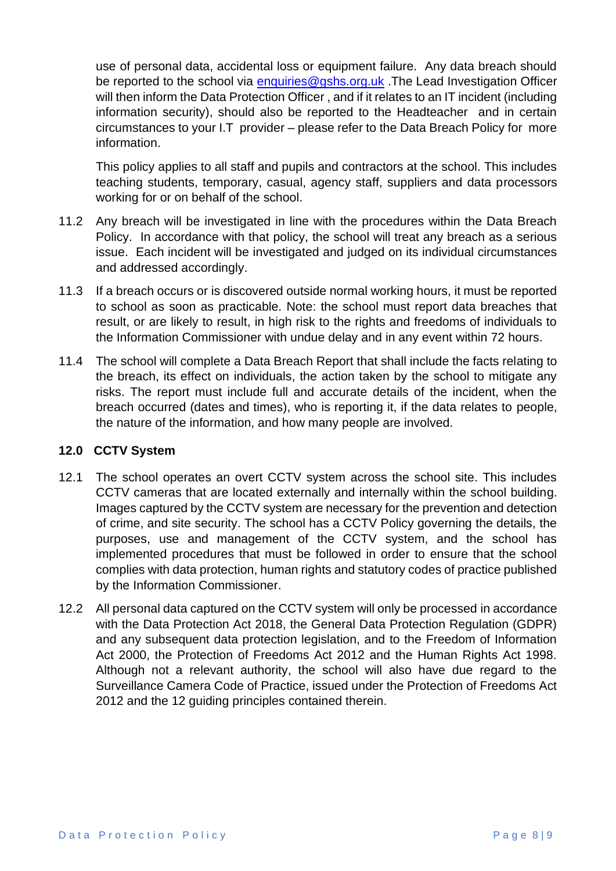use of personal data, accidental loss or equipment failure. Any data breach should be reported to the school via [enquiries@gshs.org.uk](mailto:enquiries@gshs.org.uk) . The Lead Investigation Officer will then inform the Data Protection Officer , and if it relates to an IT incident (including information security), should also be reported to the Headteacher and in certain circumstances to your I.T provider – please refer to the Data Breach Policy for more information.

This policy applies to all staff and pupils and contractors at the school. This includes teaching students, temporary, casual, agency staff, suppliers and data processors working for or on behalf of the school.

- 11.2 Any breach will be investigated in line with the procedures within the Data Breach Policy. In accordance with that policy, the school will treat any breach as a serious issue. Each incident will be investigated and judged on its individual circumstances and addressed accordingly.
- 11.3 If a breach occurs or is discovered outside normal working hours, it must be reported to school as soon as practicable. Note: the school must report data breaches that result, or are likely to result, in high risk to the rights and freedoms of individuals to the Information Commissioner with undue delay and in any event within 72 hours.
- 11.4 The school will complete a Data Breach Report that shall include the facts relating to the breach, its effect on individuals, the action taken by the school to mitigate any risks. The report must include full and accurate details of the incident, when the breach occurred (dates and times), who is reporting it, if the data relates to people, the nature of the information, and how many people are involved.

# <span id="page-7-0"></span>**12.0 CCTV System**

- 12.1 The school operates an overt CCTV system across the school site. This includes CCTV cameras that are located externally and internally within the school building. Images captured by the CCTV system are necessary for the prevention and detection of crime, and site security. The school has a CCTV Policy governing the details, the purposes, use and management of the CCTV system, and the school has implemented procedures that must be followed in order to ensure that the school complies with data protection, human rights and statutory codes of practice published by the Information Commissioner.
- 12.2 All personal data captured on the CCTV system will only be processed in accordance with the Data Protection Act 2018, the General Data Protection Regulation (GDPR) and any subsequent data protection legislation, and to the Freedom of Information Act 2000, the Protection of Freedoms Act 2012 and the Human Rights Act 1998. Although not a relevant authority, the school will also have due regard to the Surveillance Camera Code of Practice, issued under the Protection of Freedoms Act 2012 and the 12 guiding principles contained therein.